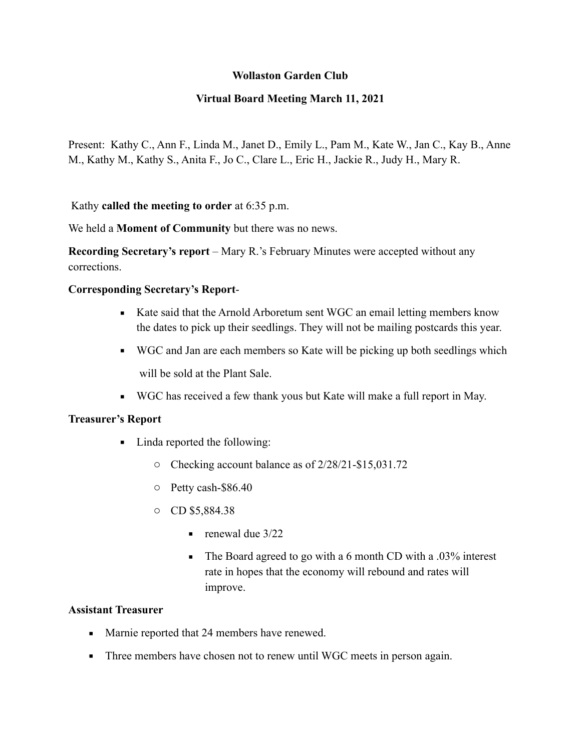# **Wollaston Garden Club**

# **Virtual Board Meeting March 11, 2021**

Present: Kathy C., Ann F., Linda M., Janet D., Emily L., Pam M., Kate W., Jan C., Kay B., Anne M., Kathy M., Kathy S., Anita F., Jo C., Clare L., Eric H., Jackie R., Judy H., Mary R.

Kathy **called the meeting to order** at 6:35 p.m.

We held a **Moment of Community** but there was no news.

**Recording Secretary's report** – Mary R.'s February Minutes were accepted without any corrections.

#### **Corresponding Secretary's Report**-

- Kate said that the Arnold Arboretum sent WGC an email letting members know the dates to pick up their seedlings. They will not be mailing postcards this year.
- WGC and Jan are each members so Kate will be picking up both seedlings which will be sold at the Plant Sale.
- WGC has received a few thank yous but Kate will make a full report in May.

### **Treasurer's Report**

- Linda reported the following:
	- o Checking account balance as of 2/28/21-\$15,031.72
	- o Petty cash-\$86.40
	- o CD \$5,884.38
		- $\blacksquare$  renewal due 3/22
		- The Board agreed to go with a 6 month CD with a .03% interest rate in hopes that the economy will rebound and rates will improve.

### **Assistant Treasurer**

- Marnie reported that 24 members have renewed.
- **•** Three members have chosen not to renew until WGC meets in person again.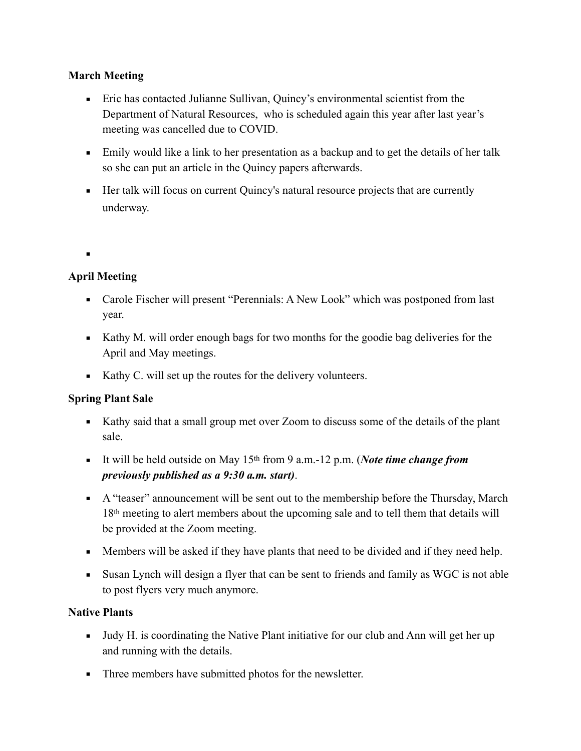# **March Meeting**

- **Eric has contacted Julianne Sullivan, Quincy's environmental scientist from the** Department of Natural Resources, who is scheduled again this year after last year's meeting was cancelled due to COVID.
- Emily would like a link to her presentation as a backup and to get the details of her talk so she can put an article in the Quincy papers afterwards.
- **•** Her talk will focus on current Quincy's natural resource projects that are currently underway.

▪

# **April Meeting**

- Carole Fischer will present "Perennials: A New Look" which was postponed from last year.
- Kathy M. will order enough bags for two months for the goodie bag deliveries for the April and May meetings.
- Kathy C. will set up the routes for the delivery volunteers.

### **Spring Plant Sale**

- Kathy said that a small group met over Zoom to discuss some of the details of the plant sale.
- It will be held outside on May 15<sup>th</sup> from 9 a.m. -12 p.m. (*Note time change from previously published as a 9:30 a.m. start)*.
- A "teaser" announcement will be sent out to the membership before the Thursday, March 18th meeting to alert members about the upcoming sale and to tell them that details will be provided at the Zoom meeting.
- **•** Members will be asked if they have plants that need to be divided and if they need help.
- Susan Lynch will design a flyer that can be sent to friends and family as WGC is not able to post flyers very much anymore.

### **Native Plants**

- Judy H. is coordinating the Native Plant initiative for our club and Ann will get her up and running with the details.
- Three members have submitted photos for the newsletter.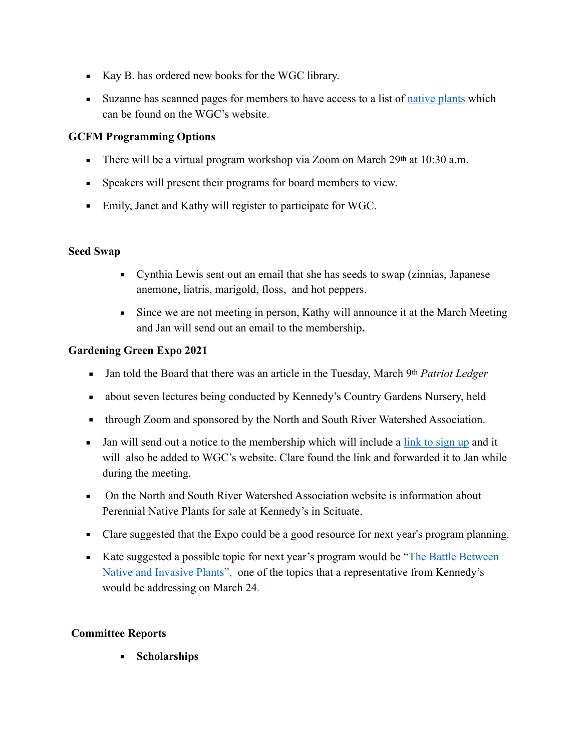- Kay B. has ordered new books for the WGC library.
- **Example 1** Suzanne has scanned pages for members to have access to a list of [native plants](https://www.wollastongardenclub.com/app/download/7249415216/Native+Plants+NE.pdf) which can be found on the WGC's website.

## **GCFM Programming Options**

- **•** There will be a virtual program workshop via Zoom on March  $29<sup>th</sup>$  at  $10:30$  a.m.
- **•** Speakers will present their programs for board members to view.
- Emily, Janet and Kathy will register to participate for WGC.

#### **Seed Swap**

- Cynthia Lewis sent out an email that she has seeds to swap (zinnias, Japanese anemone, liatris, marigold, floss, and hot peppers.
- **Example 3** Since we are not meeting in person, Kathy will announce it at the March Meeting and Jan will send out an email to the membership**.**

### **Gardening Green Expo 2021**

- Jan told the Board that there was an article in the Tuesday, March 9<sup>th</sup> *Patriot Ledger*
- **Exercise 1** about seven lectures being conducted by Kennedy's Country Gardens Nursery, held
- **■** through Zoom and sponsored by the North and South River Watershed Association.
- **•** Jan will send out a notice to the membership which will include a [link to sign up](https://www.nsrwa.org/get-watersmart/gardening-green-expo-2021) and it will also be added to WGC's website. Clare found the link and forwarded it to Jan while during the meeting.
- On the North and South River Watershed Association website is information about Perennial Native Plants for sale at Kennedy's in Scituate.
- Clare suggested that the Expo could be a good resource for next year's program planning.
- Kate suggested a possible topic for next year's program would be "The Battle Between [Native and Invasive Plants",](https://www.nsrwa.org/get-watersmart/gardening-green-expo-2021) one of the topics that a representative from Kennedy's would be addressing on March 24.

### **Committee Reports**

▪ **Scholarships**